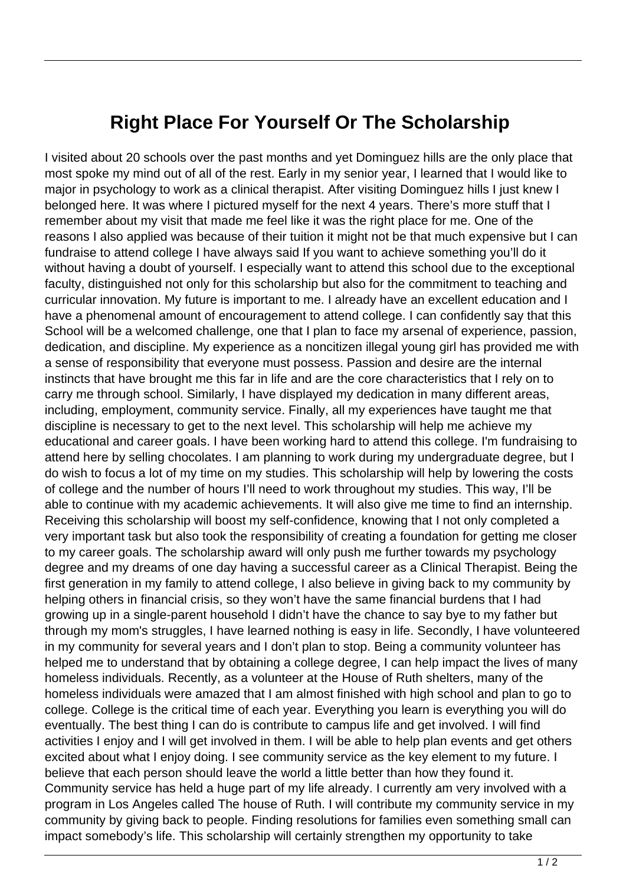## **Right Place For Yourself Or The Scholarship**

I visited about 20 schools over the past months and yet Dominguez hills are the only place that most spoke my mind out of all of the rest. Early in my senior year, I learned that I would like to major in psychology to work as a clinical therapist. After visiting Dominguez hills I just knew I belonged here. It was where I pictured myself for the next 4 years. There's more stuff that I remember about my visit that made me feel like it was the right place for me. One of the reasons I also applied was because of their tuition it might not be that much expensive but I can fundraise to attend college I have always said If you want to achieve something you'll do it without having a doubt of yourself. I especially want to attend this school due to the exceptional faculty, distinguished not only for this scholarship but also for the commitment to teaching and curricular innovation. My future is important to me. I already have an excellent education and I have a phenomenal amount of encouragement to attend college. I can confidently say that this School will be a welcomed challenge, one that I plan to face my arsenal of experience, passion, dedication, and discipline. My experience as a noncitizen illegal young girl has provided me with a sense of responsibility that everyone must possess. Passion and desire are the internal instincts that have brought me this far in life and are the core characteristics that I rely on to carry me through school. Similarly, I have displayed my dedication in many different areas, including, employment, community service. Finally, all my experiences have taught me that discipline is necessary to get to the next level. This scholarship will help me achieve my educational and career goals. I have been working hard to attend this college. I'm fundraising to attend here by selling chocolates. I am planning to work during my undergraduate degree, but I do wish to focus a lot of my time on my studies. This scholarship will help by lowering the costs of college and the number of hours I'll need to work throughout my studies. This way, I'll be able to continue with my academic achievements. It will also give me time to find an internship. Receiving this scholarship will boost my self-confidence, knowing that I not only completed a very important task but also took the responsibility of creating a foundation for getting me closer to my career goals. The scholarship award will only push me further towards my psychology degree and my dreams of one day having a successful career as a Clinical Therapist. Being the first generation in my family to attend college, I also believe in giving back to my community by helping others in financial crisis, so they won't have the same financial burdens that I had growing up in a single-parent household I didn't have the chance to say bye to my father but through my mom's struggles, I have learned nothing is easy in life. Secondly, I have volunteered in my community for several years and I don't plan to stop. Being a community volunteer has helped me to understand that by obtaining a college degree, I can help impact the lives of many homeless individuals. Recently, as a volunteer at the House of Ruth shelters, many of the homeless individuals were amazed that I am almost finished with high school and plan to go to college. College is the critical time of each year. Everything you learn is everything you will do eventually. The best thing I can do is contribute to campus life and get involved. I will find activities I enjoy and I will get involved in them. I will be able to help plan events and get others excited about what I enjoy doing. I see community service as the key element to my future. I believe that each person should leave the world a little better than how they found it. Community service has held a huge part of my life already. I currently am very involved with a program in Los Angeles called The house of Ruth. I will contribute my community service in my community by giving back to people. Finding resolutions for families even something small can impact somebody's life. This scholarship will certainly strengthen my opportunity to take